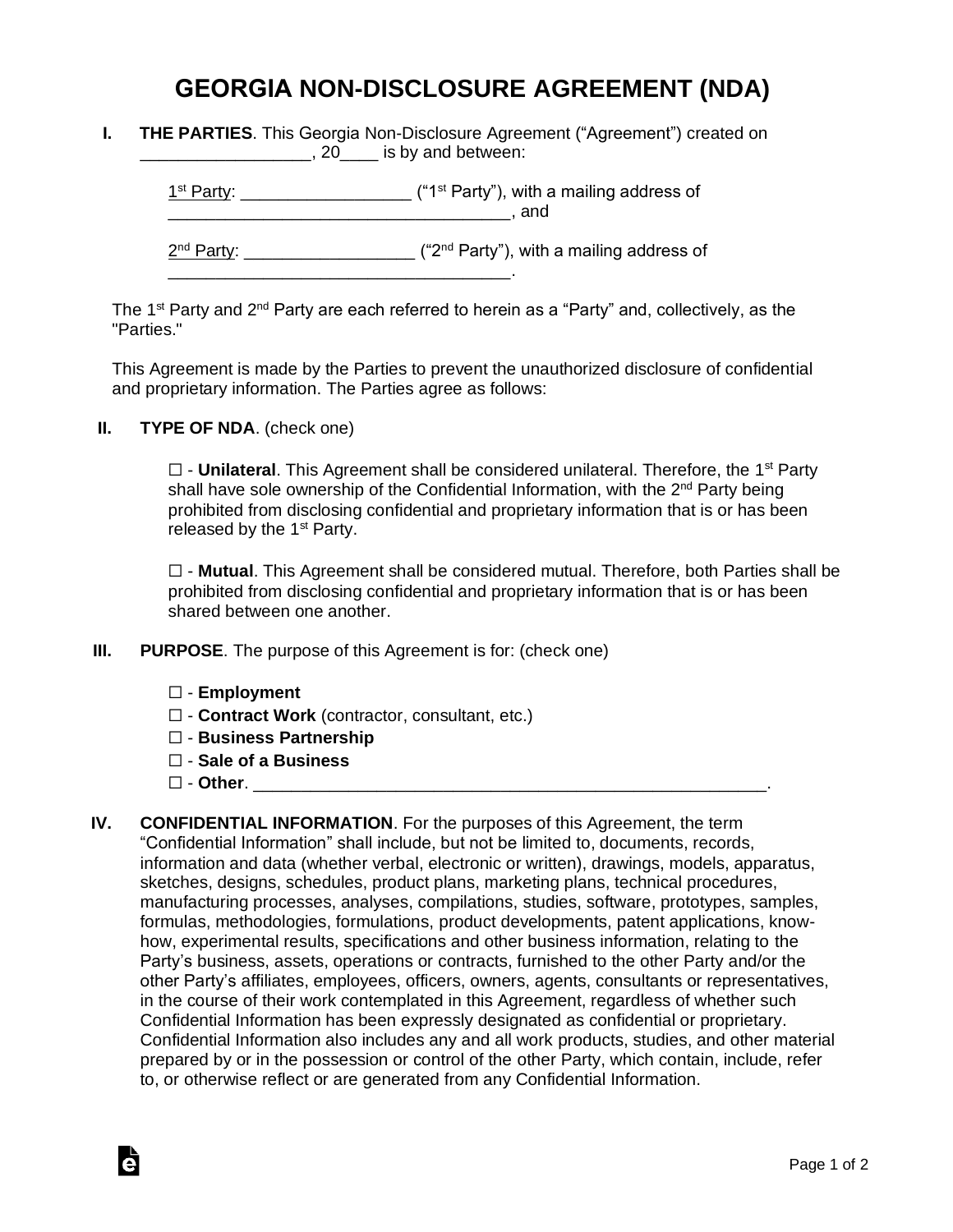## **GEORGIA NON-DISCLOSURE AGREEMENT (NDA)**

**I. THE PARTIES**. This Georgia Non-Disclosure Agreement ("Agreement") created on **\_\_\_\_\_\_\_\_\_\_\_\_\_\_\_**, 20\_\_\_\_ is by and between:

 $1<sup>st</sup> Party: _______$  $\blacksquare$  and

2<sup>nd</sup> Party: \_\_\_\_\_\_\_\_\_\_\_\_\_\_\_\_\_\_\_\_ ("2<sup>nd</sup> Party"), with a mailing address of

The 1<sup>st</sup> Party and 2<sup>nd</sup> Party are each referred to herein as a "Party" and, collectively, as the "Parties."

This Agreement is made by the Parties to prevent the unauthorized disclosure of confidential and proprietary information. The Parties agree as follows:

**II. TYPE OF NDA**. (check one)

□ - **Unilateral**. This Agreement shall be considered unilateral. Therefore, the 1<sup>st</sup> Party shall have sole ownership of the Confidential Information, with the 2<sup>nd</sup> Party being prohibited from disclosing confidential and proprietary information that is or has been released by the  $1<sup>st</sup>$  Party.

☐ - **Mutual**. This Agreement shall be considered mutual. Therefore, both Parties shall be prohibited from disclosing confidential and proprietary information that is or has been shared between one another.

**III. PURPOSE**. The purpose of this Agreement is for: (check one)

\_\_\_\_\_\_\_\_\_\_\_\_\_\_\_\_\_\_\_\_\_\_\_\_\_\_\_\_\_\_\_\_\_\_\_\_.

- ☐ **Employment**
- ☐ **Contract Work** (contractor, consultant, etc.)
- ☐ **Business Partnership**
- ☐ **Sale of a Business**
- ☐ **Other**. \_\_\_\_\_\_\_\_\_\_\_\_\_\_\_\_\_\_\_\_\_\_\_\_\_\_\_\_\_\_\_\_\_\_\_\_\_\_\_\_\_\_\_\_\_\_\_\_\_\_\_\_\_\_.

Ġ

**IV. CONFIDENTIAL INFORMATION**. For the purposes of this Agreement, the term "Confidential Information" shall include, but not be limited to, documents, records, information and data (whether verbal, electronic or written), drawings, models, apparatus, sketches, designs, schedules, product plans, marketing plans, technical procedures, manufacturing processes, analyses, compilations, studies, software, prototypes, samples, formulas, methodologies, formulations, product developments, patent applications, knowhow, experimental results, specifications and other business information, relating to the Party's business, assets, operations or contracts, furnished to the other Party and/or the other Party's affiliates, employees, officers, owners, agents, consultants or representatives, in the course of their work contemplated in this Agreement, regardless of whether such Confidential Information has been expressly designated as confidential or proprietary. Confidential Information also includes any and all work products, studies, and other material prepared by or in the possession or control of the other Party, which contain, include, refer to, or otherwise reflect or are generated from any Confidential Information.